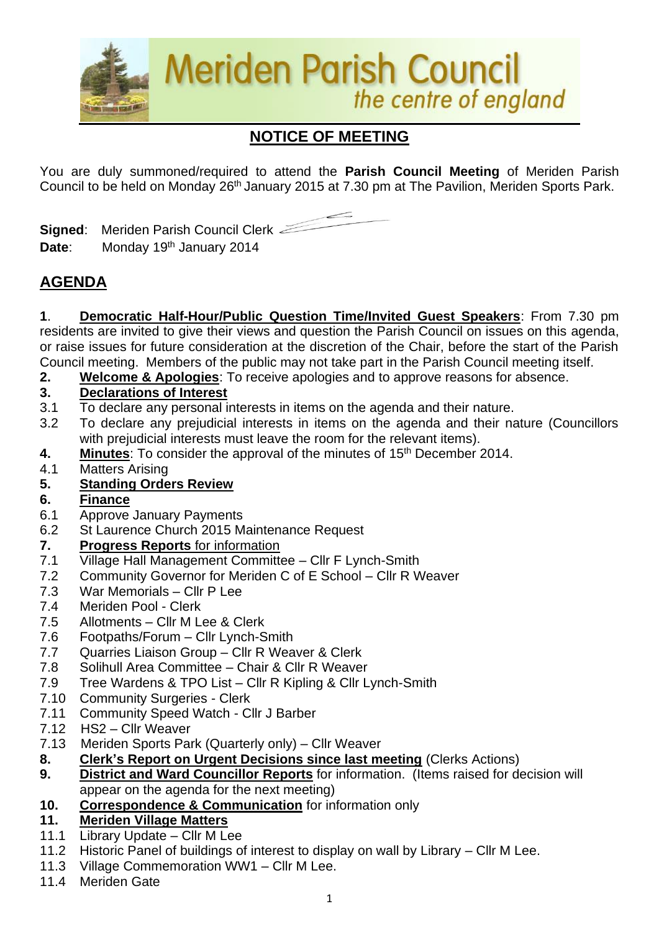

# **NOTICE OF MEETING**

You are duly summoned/required to attend the **Parish Council Meeting** of Meriden Parish Council to be held on Monday 26<sup>th</sup> January 2015 at 7.30 pm at The Pavilion, Meriden Sports Park.

**Signed**: Meriden Parish Council Clerk Date: Monday 19<sup>th</sup> January 2014

## **AGENDA**

**1**. **Democratic Half-Hour/Public Question Time/Invited Guest Speakers**: From 7.30 pm residents are invited to give their views and question the Parish Council on issues on this agenda, or raise issues for future consideration at the discretion of the Chair, before the start of the Parish Council meeting. Members of the public may not take part in the Parish Council meeting itself.

**2. Welcome & Apologies**: To receive apologies and to approve reasons for absence.

### **3. Declarations of Interest**

- 3.1 To declare any personal interests in items on the agenda and their nature.
- 3.2 To declare any prejudicial interests in items on the agenda and their nature (Councillors with prejudicial interests must leave the room for the relevant items).
- **4. Minutes:** To consider the approval of the minutes of 15<sup>th</sup> December 2014.
- 4.1 Matters Arising
- **5. Standing Orders Review**
- **6. Finance**
- 6.1 Approve January Payments
- 6.2 St Laurence Church 2015 Maintenance Request

### **7. Progress Reports** for information

- 7.1 Village Hall Management Committee Cllr F Lynch-Smith
- 7.2 Community Governor for Meriden C of E School Cllr R Weaver
- 7.3 War Memorials Cllr P Lee
- 7.4 Meriden Pool Clerk
- 7.5 Allotments Cllr M Lee & Clerk
- 7.6 Footpaths/Forum Cllr Lynch-Smith
- 7.7 Quarries Liaison Group Cllr R Weaver & Clerk
- 7.8 Solihull Area Committee Chair & Cllr R Weaver
- 7.9 Tree Wardens & TPO List Cllr R Kipling & Cllr Lynch-Smith
- 7.10 Community Surgeries Clerk
- 7.11 Community Speed Watch Cllr J Barber
- 7.12 HS2 Cllr Weaver
- 7.13Meriden Sports Park (Quarterly only) Cllr Weaver
- **8. Clerk's Report on Urgent Decisions since last meeting** (Clerks Actions)
- **9. District and Ward Councillor Reports** for information. (Items raised for decision will appear on the agenda for the next meeting)
- **10. Correspondence & Communication** for information only

### **11. Meriden Village Matters**

- 11.1 Library Update Cllr M Lee
- 11.2 Historic Panel of buildings of interest to display on wall by Library Cllr M Lee.
- 11.3 Village Commemoration WW1 Cllr M Lee.
- 11.4 Meriden Gate